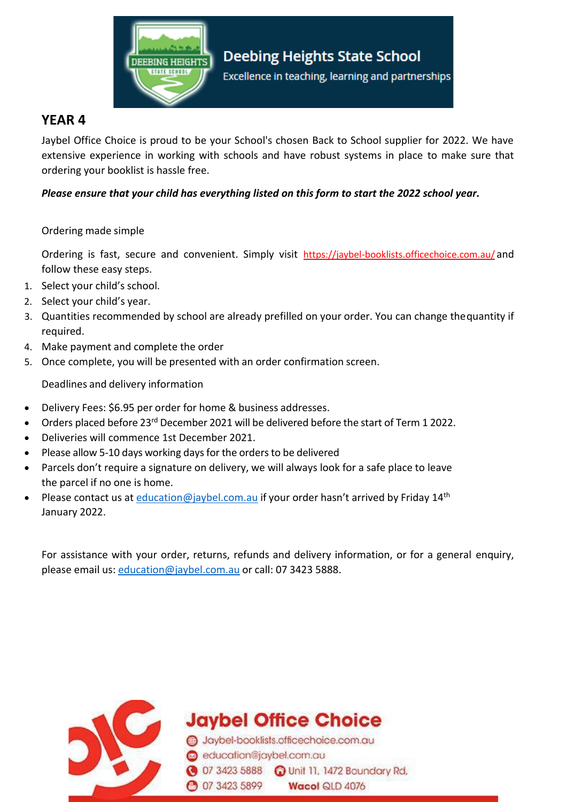

## **YEAR 4**

Jaybel Office Choice is proud to be your School's chosen Back to School supplier for 2022. We have extensive experience in working with schools and have robust systems in place to make sure that ordering your booklist is hassle free.

### *Please ensure that your child has everything listed on this form to start the 2022 school year.*

#### Ordering made simple

Ordering is fast, secure and convenient. Simply visit https://jaybel-booklists.officechoice.com.au/ and follow these easy steps.

- 1. Select your child's school.
- 2. Select your child's year.
- 3. Quantities recommended by school are already prefilled on your order. You can change thequantity if required.
- 4. Make payment and complete the order
- 5. Once complete, you will be presented with an order confirmation screen.

Deadlines and delivery information

- Delivery Fees: \$6.95 per order for home & business addresses.
- Orders placed before 23<sup>rd</sup> December 2021 will be delivered before the start of Term 1 2022.
- Deliveries will commence 1st December 2021.
- Please allow 5-10 days working days for the orders to be delivered
- Parcels don't require a signature on delivery, we will always look for a safe place to leave the parcel if no one is home.
- Please contact us at [education@jaybel.com.au](mailto:education@jaybel.com.au) if your order hasn't arrived by Friday 14<sup>th</sup> January 2022.

For assistance with your order, returns, refunds and delivery information, or for a general enquiry, please email us: [education@jaybel.com.au](mailto:education@jaybel.com.au) or call: 07 3423 5888.



**Jaybel Office Choice** 

Jaybel-booklists.officechoice.com.au education@jaybel.com.au 3423 5888 a Unit 11, 1472 Boundary Rd, **3423 5899** Wacol QLD 4076